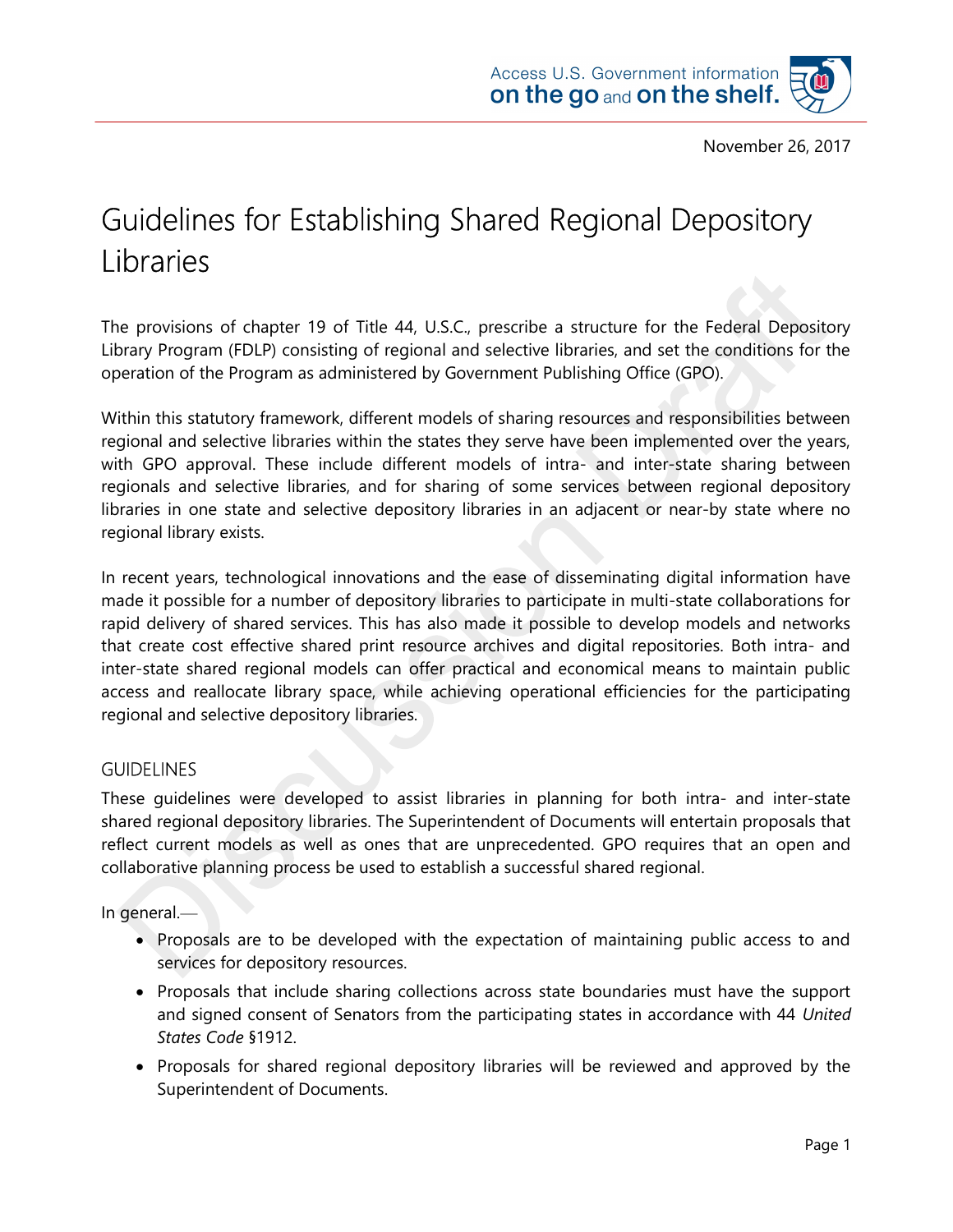

# Guidelines for Establishing Shared Regional Depository Libraries

The provisions of chapter 19 of Title 44, U.S.C., prescribe a structure for the Federal Depository Library Program (FDLP) consisting of regional and selective libraries, and set the conditions for the operation of the Program as administered by Government Publishing Office (GPO).

Within this statutory framework, different models of sharing resources and responsibilities between regional and selective libraries within the states they serve have been implemented over the years, with GPO approval. These include different models of intra- and inter-state sharing between regionals and selective libraries, and for sharing of some services between regional depository libraries in one state and selective depository libraries in an adjacent or near-by state where no regional library exists.

In recent years, technological innovations and the ease of disseminating digital information have made it possible for a number of depository libraries to participate in multi-state collaborations for rapid delivery of shared services. This has also made it possible to develop models and networks that create cost effective shared print resource archives and digital repositories. Both intra- and inter-state shared regional models can offer practical and economical means to maintain public access and reallocate library space, while achieving operational efficiencies for the participating regional and selective depository libraries.

#### **GUIDELINES**

These guidelines were developed to assist libraries in planning for both intra- and inter-state shared regional depository libraries. The Superintendent of Documents will entertain proposals that reflect current models as well as ones that are unprecedented. GPO requires that an open and collaborative planning process be used to establish a successful shared regional.

In general.—

- Proposals are to be developed with the expectation of maintaining public access to and services for depository resources.
- Proposals that include sharing collections across state boundaries must have the support and signed consent of Senators from the participating states in accordance with 44 United States Code §1912.
- Proposals for shared regional depository libraries will be reviewed and approved by the Superintendent of Documents.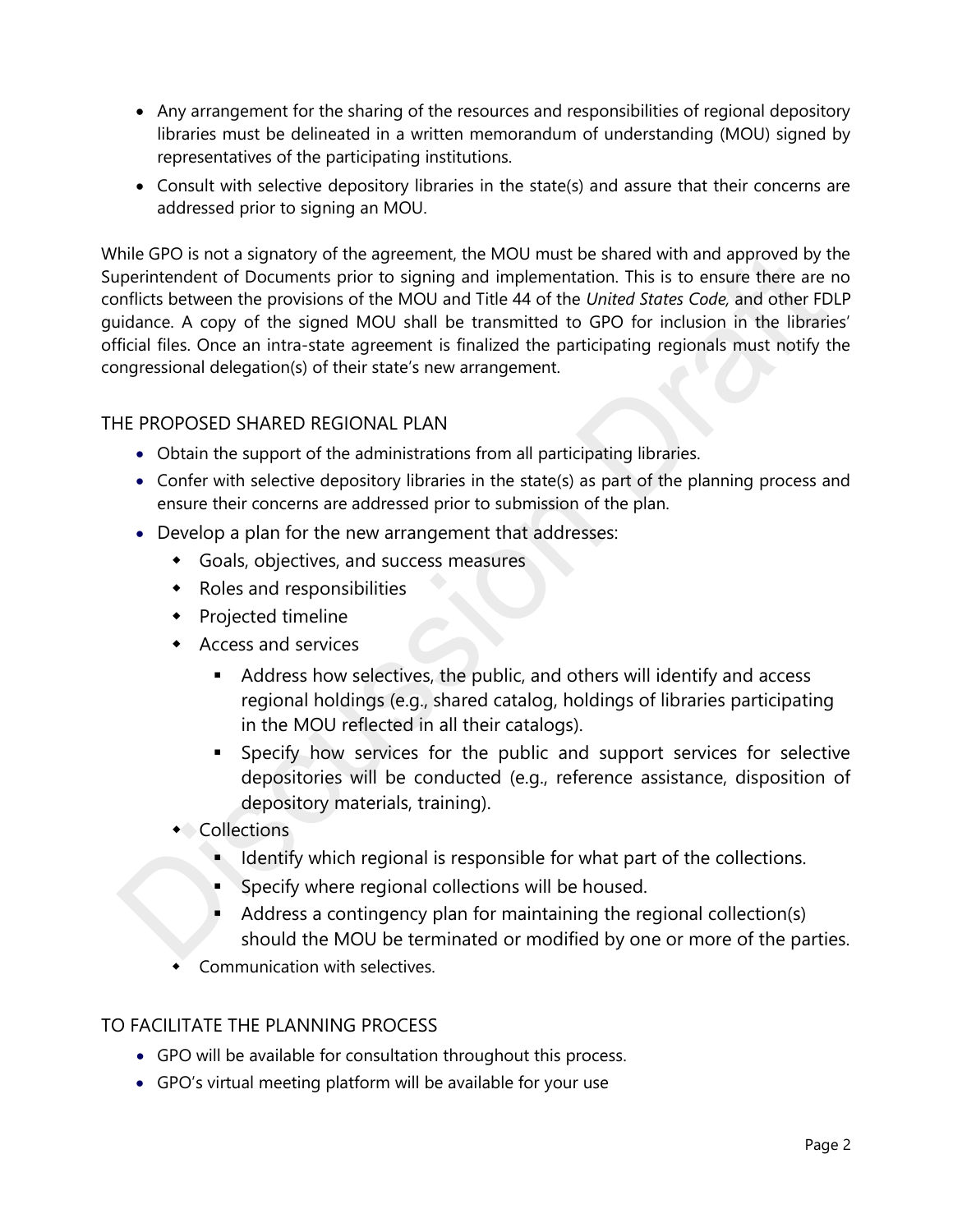- Any arrangement for the sharing of the resources and responsibilities of regional depository libraries must be delineated in a written memorandum of understanding (MOU) signed by representatives of the participating institutions.
- Consult with selective depository libraries in the state(s) and assure that their concerns are addressed prior to signing an MOU.

While GPO is not a signatory of the agreement, the MOU must be shared with and approved by the Superintendent of Documents prior to signing and implementation. This is to ensure there are no conflicts between the provisions of the MOU and Title 44 of the United States Code, and other FDLP guidance. A copy of the signed MOU shall be transmitted to GPO for inclusion in the libraries' official files. Once an intra-state agreement is finalized the participating regionals must notify the congressional delegation(s) of their state's new arrangement.

## THE PROPOSED SHARED REGIONAL PLAN

- Obtain the support of the administrations from all participating libraries.
- Confer with selective depository libraries in the state(s) as part of the planning process and ensure their concerns are addressed prior to submission of the plan.
- Develop a plan for the new arrangement that addresses:
	- Goals, objectives, and success measures
	- Roles and responsibilities
	- Projected timeline
	- Access and services
		- Address how selectives, the public, and others will identify and access regional holdings (e.g., shared catalog, holdings of libraries participating in the MOU reflected in all their catalogs).
		- Specify how services for the public and support services for selective depositories will be conducted (e.g., reference assistance, disposition of depository materials, training).
	- **Collections** 
		- I Identify which regional is responsible for what part of the collections.
		- Specify where regional collections will be housed.
		- Address a contingency plan for maintaining the regional collection(s) should the MOU be terminated or modified by one or more of the parties.
	- Communication with selectives.

#### TO FACILITATE THE PLANNING PROCESS

- GPO will be available for consultation throughout this process.
- GPO's virtual meeting platform will be available for your use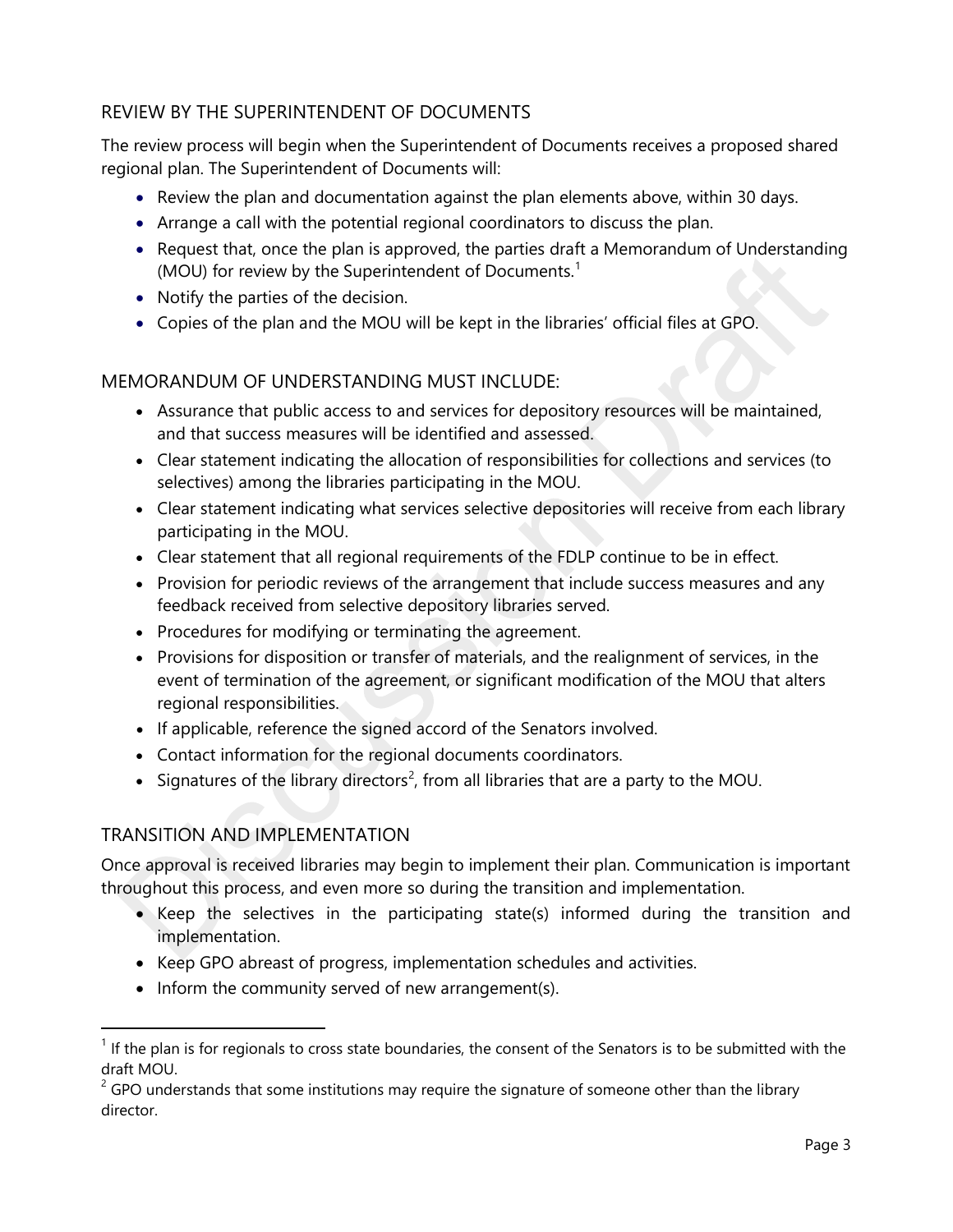# REVIEW BY THE SUPERINTENDENT OF DOCUMENTS

The review process will begin when the Superintendent of Documents receives a proposed shared regional plan. The Superintendent of Documents will:

- Review the plan and documentation against the plan elements above, within 30 days.
- Arrange a call with the potential regional coordinators to discuss the plan.
- Request that, once the plan is approved, the parties draft a Memorandum of Understanding (MOU) for review by the Superintendent of Documents.<sup>1</sup>
- Notify the parties of the decision.
- Copies of the plan and the MOU will be kept in the libraries' official files at GPO.

### MEMORANDUM OF UNDERSTANDING MUST INCLUDE:

- Assurance that public access to and services for depository resources will be maintained, and that success measures will be identified and assessed.
- Clear statement indicating the allocation of responsibilities for collections and services (to selectives) among the libraries participating in the MOU.
- Clear statement indicating what services selective depositories will receive from each library participating in the MOU.
- Clear statement that all regional requirements of the FDLP continue to be in effect.
- Provision for periodic reviews of the arrangement that include success measures and any feedback received from selective depository libraries served.
- Procedures for modifying or terminating the agreement.
- Provisions for disposition or transfer of materials, and the realignment of services, in the event of termination of the agreement, or significant modification of the MOU that alters regional responsibilities.
- If applicable, reference the signed accord of the Senators involved.
- Contact information for the regional documents coordinators.
- Signatures of the library directors<sup>2</sup>, from all libraries that are a party to the MOU.

## TRANSITION AND IMPLEMENTATION

 $\overline{a}$ 

Once approval is received libraries may begin to implement their plan. Communication is important throughout this process, and even more so during the transition and implementation.

- Keep the selectives in the participating state(s) informed during the transition and implementation.
- Keep GPO abreast of progress, implementation schedules and activities.
- $\bullet$  Inform the community served of new arrangement(s).

 $<sup>1</sup>$  If the plan is for regionals to cross state boundaries, the consent of the Senators is to be submitted with the</sup> draft MOU.

 $2^{2}$  GPO understands that some institutions may require the signature of someone other than the library director.